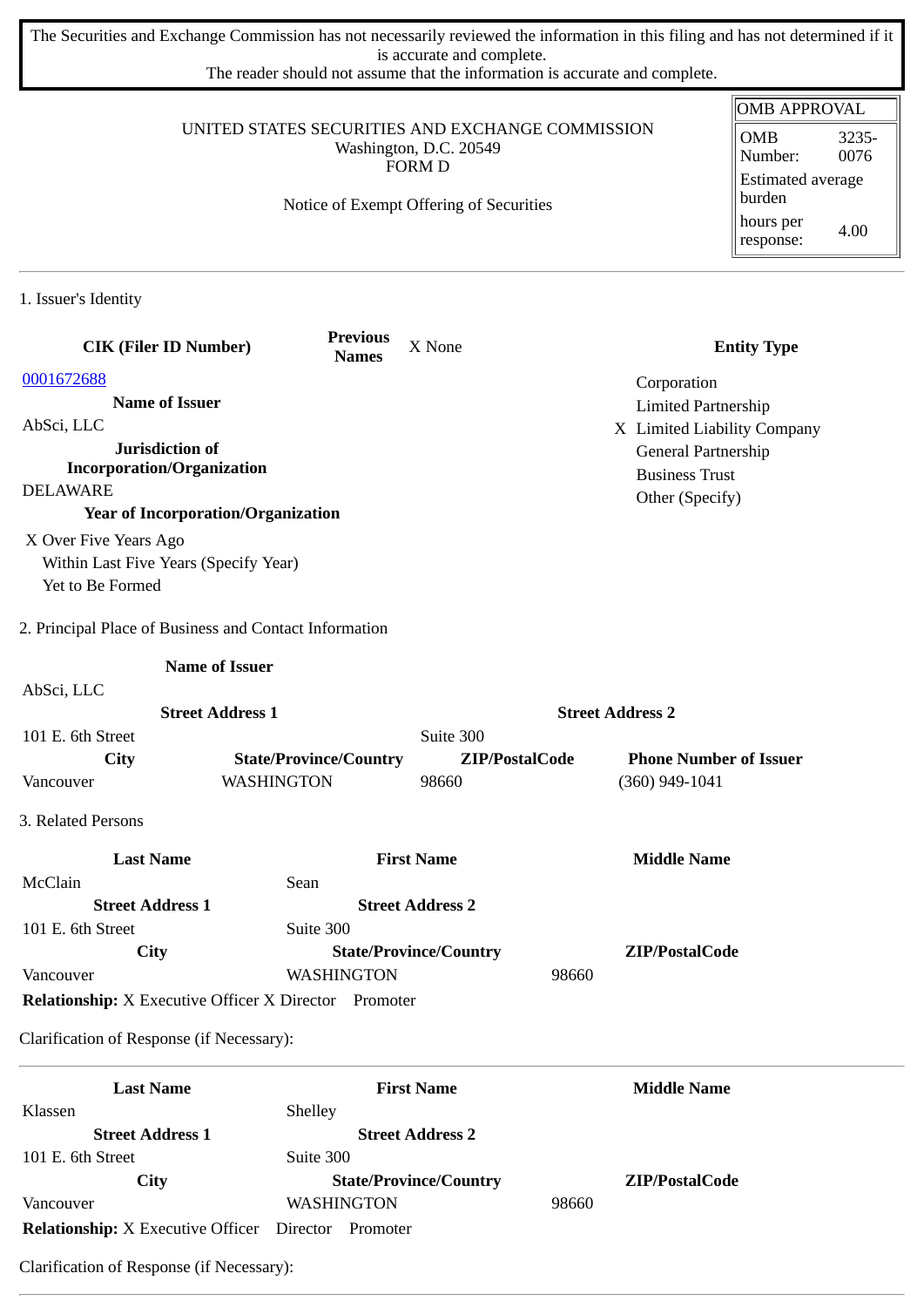The Securities and Exchange Commission has not necessarily reviewed the information in this filing and has not determined if it is accurate and complete.

The reader should not assume that the information is accurate and complete.

|                                                                                             |                                         |                               |                            | <b>OMB APPROVAL</b>                |
|---------------------------------------------------------------------------------------------|-----------------------------------------|-------------------------------|----------------------------|------------------------------------|
| UNITED STATES SECURITIES AND EXCHANGE COMMISSION<br>Washington, D.C. 20549<br><b>FORM D</b> |                                         |                               |                            | <b>OMB</b><br>3235-                |
|                                                                                             |                                         |                               |                            | 0076<br>Number:                    |
|                                                                                             | Notice of Exempt Offering of Securities |                               |                            | <b>Estimated average</b><br>burden |
|                                                                                             |                                         |                               |                            | hours per<br>4.00<br>response:     |
|                                                                                             |                                         |                               |                            |                                    |
| 1. Issuer's Identity                                                                        |                                         |                               |                            |                                    |
| <b>CIK (Filer ID Number)</b>                                                                | <b>Previous</b><br><b>Names</b>         | X None                        |                            | <b>Entity Type</b>                 |
| 0001672688                                                                                  |                                         |                               | Corporation                |                                    |
| <b>Name of Issuer</b>                                                                       |                                         |                               | <b>Limited Partnership</b> |                                    |
| AbSci, LLC                                                                                  |                                         |                               |                            | X Limited Liability Company        |
| Jurisdiction of                                                                             |                                         |                               | General Partnership        |                                    |
| <b>Incorporation/Organization</b>                                                           |                                         |                               | <b>Business Trust</b>      |                                    |
| <b>DELAWARE</b>                                                                             |                                         |                               | Other (Specify)            |                                    |
| <b>Year of Incorporation/Organization</b>                                                   |                                         |                               |                            |                                    |
| X Over Five Years Ago                                                                       |                                         |                               |                            |                                    |
| Within Last Five Years (Specify Year)                                                       |                                         |                               |                            |                                    |
| Yet to Be Formed                                                                            |                                         |                               |                            |                                    |
| 2. Principal Place of Business and Contact Information                                      |                                         |                               |                            |                                    |
|                                                                                             | <b>Name of Issuer</b>                   |                               |                            |                                    |
| AbSci, LLC                                                                                  |                                         |                               |                            |                                    |
|                                                                                             | <b>Street Address 1</b>                 |                               | <b>Street Address 2</b>    |                                    |
| 101 E. 6th Street                                                                           |                                         | Suite 300                     |                            |                                    |
| City                                                                                        | <b>State/Province/Country</b>           | ZIP/PostalCode                |                            | <b>Phone Number of Issuer</b>      |
| Vancouver                                                                                   | WASHINGTON                              | 98660                         | (360) 949-1041             |                                    |
| 3. Related Persons                                                                          |                                         |                               |                            |                                    |
| <b>Last Name</b>                                                                            |                                         | <b>First Name</b>             | <b>Middle Name</b>         |                                    |
| McClain                                                                                     | Sean                                    |                               |                            |                                    |
| <b>Street Address 1</b>                                                                     |                                         | <b>Street Address 2</b>       |                            |                                    |
| 101 E. 6th Street                                                                           | Suite 300                               |                               |                            |                                    |
| <b>City</b>                                                                                 |                                         | <b>State/Province/Country</b> | ZIP/PostalCode             |                                    |
| Vancouver                                                                                   | <b>WASHINGTON</b>                       |                               | 98660                      |                                    |
| <b>Relationship:</b> X Executive Officer X Director Promoter                                |                                         |                               |                            |                                    |
| Clarification of Response (if Necessary):                                                   |                                         |                               |                            |                                    |
| <b>Last Name</b>                                                                            |                                         | <b>First Name</b>             | <b>Middle Name</b>         |                                    |
| Klassen                                                                                     | Shelley                                 |                               |                            |                                    |
| <b>Street Address 1</b>                                                                     |                                         | <b>Street Address 2</b>       |                            |                                    |
| 101 E. 6th Street                                                                           | Suite 300                               |                               |                            |                                    |
| City                                                                                        |                                         | <b>State/Province/Country</b> | ZIP/PostalCode             |                                    |

Vancouver WASHINGTON 98660 **Relationship:** X Executive Officer Director Promoter

Clarification of Response (if Necessary):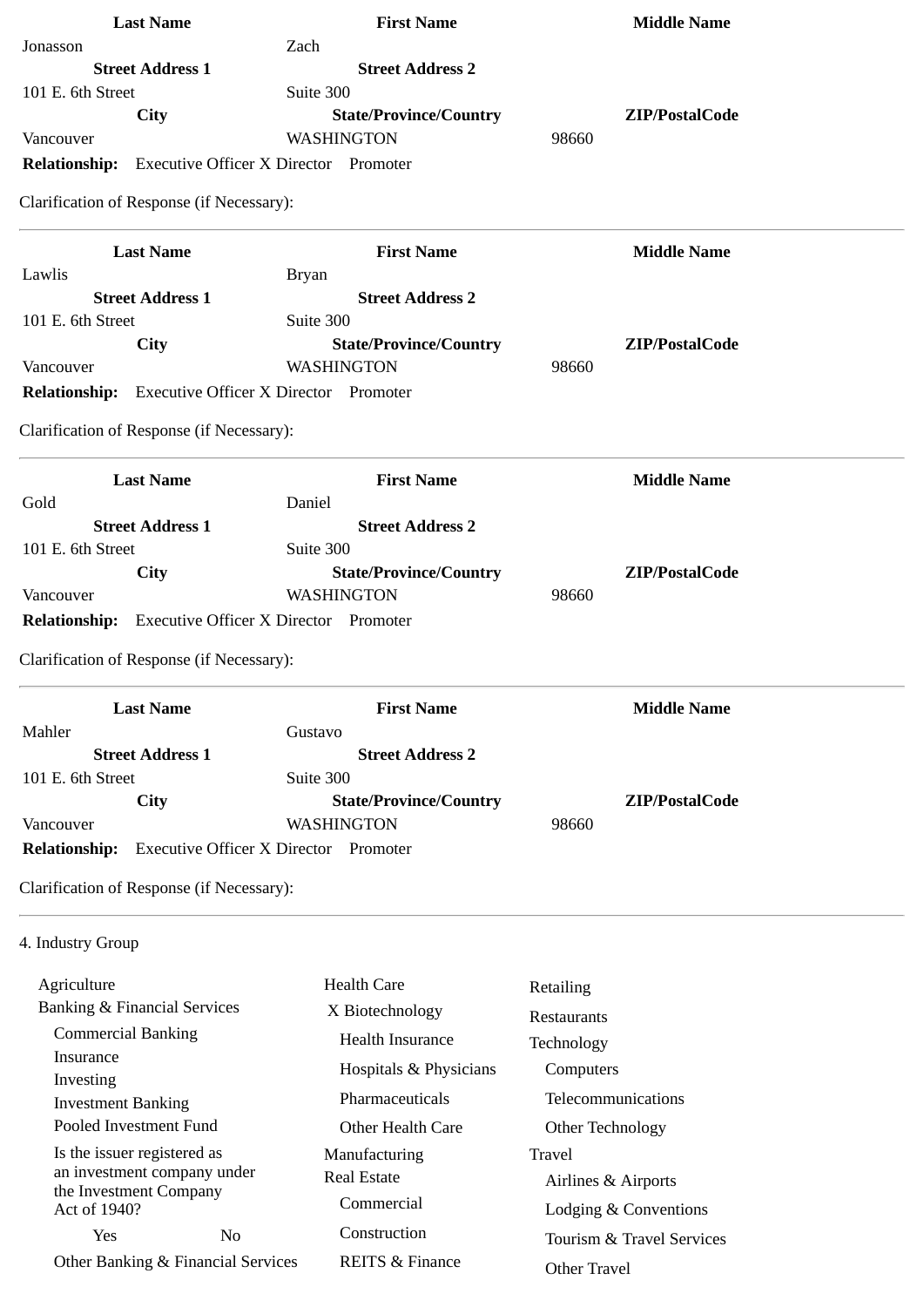| <b>Last Name</b>                                           | <b>First Name</b>                            | <b>Middle Name</b> |
|------------------------------------------------------------|----------------------------------------------|--------------------|
| Jonasson                                                   | Zach                                         |                    |
| <b>Street Address 1</b>                                    | <b>Street Address 2</b>                      |                    |
| 101 E. 6th Street                                          | Suite 300                                    |                    |
| City                                                       | <b>State/Province/Country</b>                | ZIP/PostalCode     |
| Vancouver                                                  | WASHINGTON                                   | 98660              |
| <b>Relationship:</b> Executive Officer X Director Promoter |                                              |                    |
| Clarification of Response (if Necessary):                  |                                              |                    |
| <b>Last Name</b>                                           | <b>First Name</b>                            | <b>Middle Name</b> |
| Lawlis                                                     | <b>Bryan</b>                                 |                    |
| <b>Street Address 1</b>                                    | <b>Street Address 2</b>                      |                    |
| 101 E. 6th Street                                          | Suite 300                                    |                    |
| City                                                       | <b>State/Province/Country</b>                | ZIP/PostalCode     |
| Vancouver                                                  | WASHINGTON                                   | 98660              |
| <b>Relationship:</b> Executive Officer X Director Promoter |                                              |                    |
| Clarification of Response (if Necessary):                  |                                              |                    |
| <b>Last Name</b>                                           | <b>First Name</b>                            | <b>Middle Name</b> |
| Gold                                                       | Daniel                                       |                    |
| <b>Street Address 1</b>                                    | <b>Street Address 2</b>                      |                    |
| 101 E. 6th Street                                          | Suite 300                                    |                    |
| <b>City</b>                                                | <b>State/Province/Country</b>                | ZIP/PostalCode     |
| Vancouver                                                  | WASHINGTON                                   | 98660              |
| <b>Relationship:</b> Executive Officer X Director Promoter |                                              |                    |
| Clarification of Response (if Necessary):                  |                                              |                    |
| <b>Last Name</b>                                           | <b>First Name</b>                            | <b>Middle Name</b> |
| Mahler                                                     | Gustavo                                      |                    |
| <b>Street Address 1</b>                                    | <b>Street Address 2</b>                      |                    |
| 101 E. 6th Street                                          | Suite 300                                    |                    |
| City                                                       | <b>State/Province/Country</b>                | ZIP/PostalCode     |
| Vancouver                                                  | <b>WASHINGTON</b>                            | 98660              |
| <b>Relationship:</b>                                       | <b>Executive Officer X Director Promoter</b> |                    |
| Clarification of Response (if Necessary):                  |                                              |                    |
| 4. Industry Group                                          |                                              |                    |
| Agriculture                                                | <b>Health Care</b>                           | Retailing          |
| <b>Banking &amp; Financial Services</b>                    | X Biotechnology                              |                    |
| <b>Commercial Banking</b>                                  | <b>Health Insurance</b>                      | Restaurants        |
| Insurance                                                  |                                              | Technology         |
|                                                            | Hospitals & Physicians                       | Computers          |

 Pharmaceuticals Other Health Care

 Manufacturing Real Estate

> Commercial Construction

REITS & Finance

 Investment Banking Pooled Investment Fund

Investing

Is the issuer registered as an investment company under the Investment Company Act of 1940?

Yes No Other Banking & Financial Services

**Computers**  Telecommunications Other Technology Travel Airlines & Airports Lodging & Conventions Tourism & Travel Services Other Travel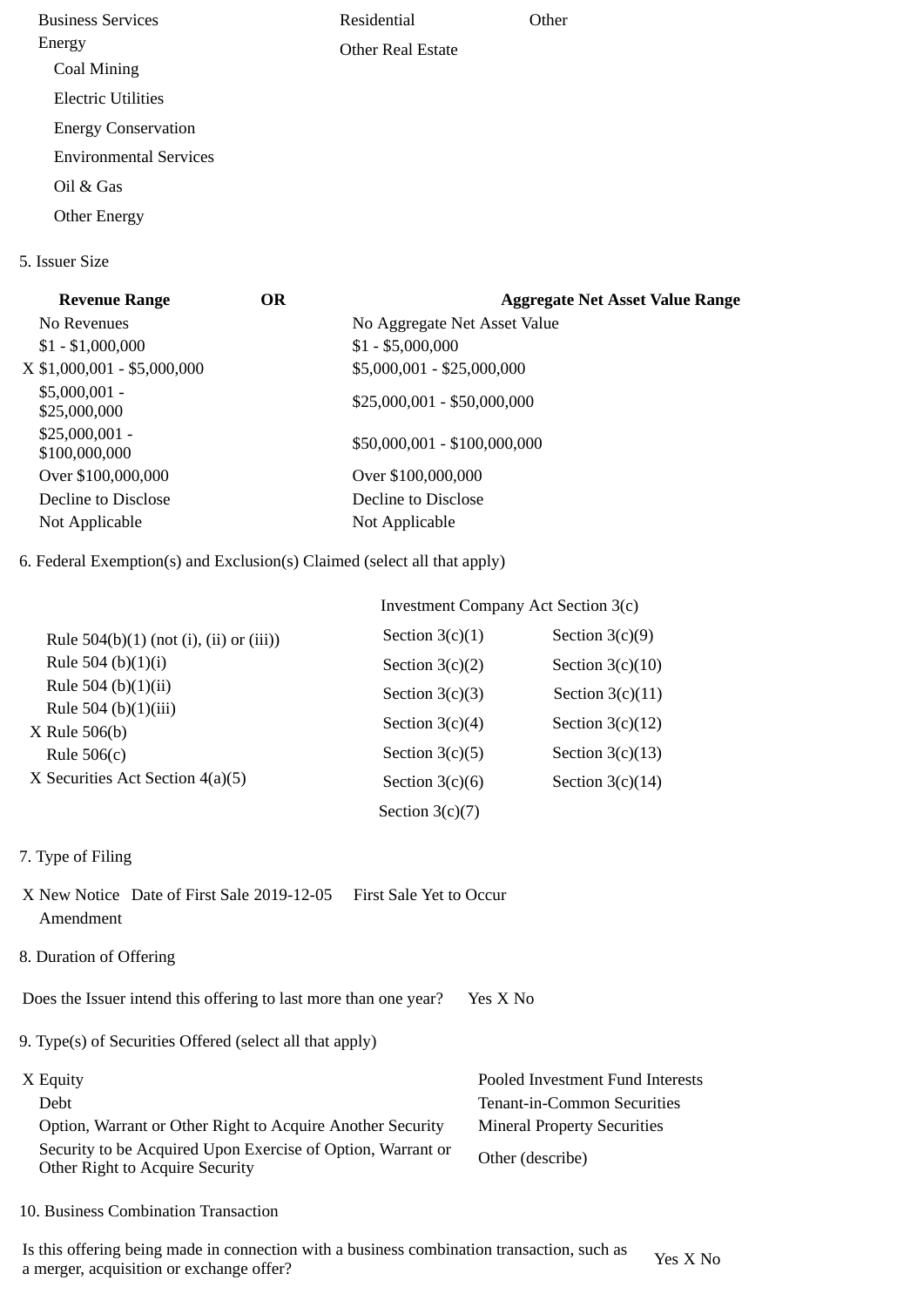Business Services Energy Coal Mining Electric Utilities Energy Conservation Environmental Services Oil & Gas Other Energy Residential Other Real Estate **Other** 

## **Revenue Range OR Aggregate Net Asset Value Range** No Revenues No Aggregate Net Asset Value  $$1 - $1,000,000$   $$1 - $5,000,000$ X \$1,000,001 - \$5,000,000 \$5,000,001 - \$25,000,000 \$5,000,001 -  $$25,000,001 - $50,000,000$ <br> $$25,000,000$ \$25,000,001 -  $$100,000,001 =$ <br> $$100,000,000$  Over \$100,000,000 Over \$100,000,000 Decline to Disclose Decline to Disclose Not Applicable Not Applicable

6. Federal Exemption(s) and Exclusion(s) Claimed (select all that apply)

|                                           | <b>Investment Company Act Section 3(c)</b> |                    |  |
|-------------------------------------------|--------------------------------------------|--------------------|--|
| Rule $504(b)(1)$ (not (i), (ii) or (iii)) | Section $3(c)(1)$                          | Section $3(c)(9)$  |  |
| Rule 504 (b) $(1)(i)$                     | Section $3(c)(2)$                          | Section $3(c)(10)$ |  |
| Rule 504 (b) $(1)(ii)$                    | Section $3(c)(3)$                          | Section $3(c)(11)$ |  |
| Rule 504 (b)(1)(iii)<br>X Rule 506(b)     | Section $3(c)(4)$                          | Section $3(c)(12)$ |  |
| Rule $506(c)$                             | Section $3(c)(5)$                          | Section $3(c)(13)$ |  |
| X Securities Act Section 4(a)(5)          | Section $3(c)(6)$                          | Section $3(c)(14)$ |  |
|                                           | Section $3(c)(7)$                          |                    |  |

7. Type of Filing

5. Issuer Size

- X New Notice Date of First Sale 2019-12-05 First Sale Yet to Occur Amendment
- 8. Duration of Offering

Does the Issuer intend this offering to last more than one year? Yes X No

9. Type(s) of Securities Offered (select all that apply)

| X Equity                                                                                       | Pooled Investment Fund Interests   |
|------------------------------------------------------------------------------------------------|------------------------------------|
| Debt                                                                                           | Tenant-in-Common Securities        |
| Option, Warrant or Other Right to Acquire Another Security                                     | <b>Mineral Property Securities</b> |
| Security to be Acquired Upon Exercise of Option, Warrant or<br>Other Right to Acquire Security | Other (describe)                   |

10. Business Combination Transaction

Is this offering being made in connection with a business combination transaction, such as a merger, acquisition or exchange offer?<br>a merger, acquisition or exchange offer?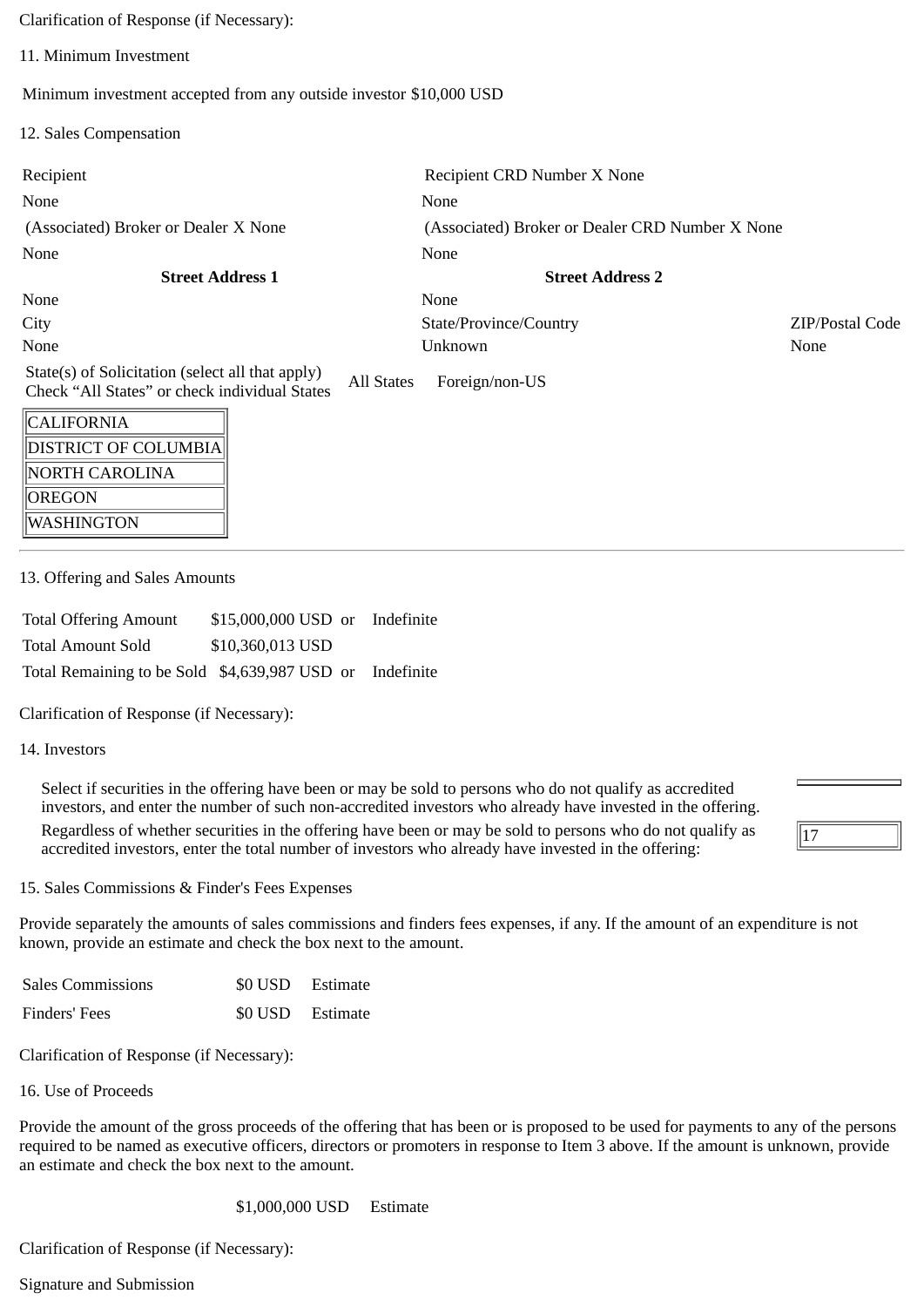Clarification of Response (if Necessary):

11. Minimum Investment

Minimum investment accepted from any outside investor \$10,000 USD

12. Sales Compensation

| Recipient                                                                                         |            | Recipient CRD Number X None                     |                 |
|---------------------------------------------------------------------------------------------------|------------|-------------------------------------------------|-----------------|
| None                                                                                              |            | None                                            |                 |
| (Associated) Broker or Dealer X None                                                              |            | (Associated) Broker or Dealer CRD Number X None |                 |
| None                                                                                              |            | None                                            |                 |
| <b>Street Address 1</b>                                                                           |            | <b>Street Address 2</b>                         |                 |
| None                                                                                              |            | None                                            |                 |
| City                                                                                              |            | State/Province/Country                          | ZIP/Postal Code |
| None                                                                                              |            | Unknown                                         | None            |
| State(s) of Solicitation (select all that apply)<br>Check "All States" or check individual States | All States | Foreign/non-US                                  |                 |
| <b>CALIFORNIA</b>                                                                                 |            |                                                 |                 |

| CALIFORNIA                  |
|-----------------------------|
| <b>DISTRICT OF COLUMBIA</b> |
| NORTH CAROLINA              |
| OREGON                      |
| WASHINGTON                  |

13. Offering and Sales Amounts

| <b>Total Offering Amount</b>                             | \$15,000,000 USD or Indefinite |  |
|----------------------------------------------------------|--------------------------------|--|
| <b>Total Amount Sold</b>                                 | \$10,360,013 USD               |  |
| Total Remaining to be Sold \$4,639,987 USD or Indefinite |                                |  |

Clarification of Response (if Necessary):

## 14. Investors

Select if securities in the offering have been or may be sold to persons who do not qualify as accredited investors, and enter the number of such non-accredited investors who already have invested in the offering. Regardless of whether securities in the offering have been or may be sold to persons who do not qualify as accredited investors, enter the total number of investors who already have invested in the offering:

15. Sales Commissions & Finder's Fees Expenses

Provide separately the amounts of sales commissions and finders fees expenses, if any. If the amount of an expenditure is not known, provide an estimate and check the box next to the amount.

 $|17$ 

| <b>Sales Commissions</b> | \$0 USD Estimate |
|--------------------------|------------------|
| Finders' Fees            | \$0 USD Estimate |

Clarification of Response (if Necessary):

16. Use of Proceeds

Provide the amount of the gross proceeds of the offering that has been or is proposed to be used for payments to any of the persons required to be named as executive officers, directors or promoters in response to Item 3 above. If the amount is unknown, provide an estimate and check the box next to the amount.

\$1,000,000 USD Estimate

Clarification of Response (if Necessary):

Signature and Submission